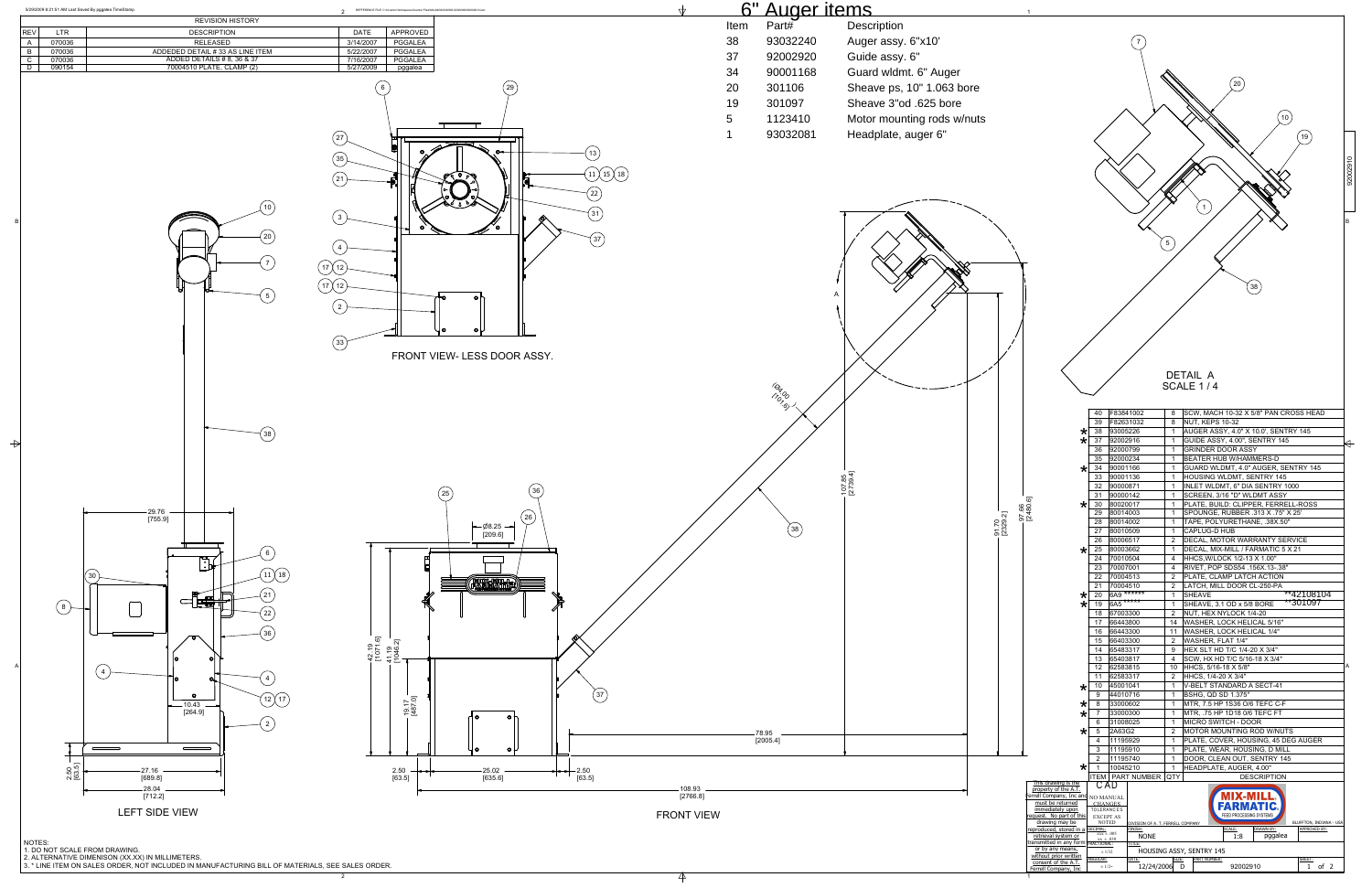2



|   | 6" Auger items    |                            |                            |                                                                     |                                            |                      |                                   |                                  |                                                                          |          |
|---|-------------------|----------------------------|----------------------------|---------------------------------------------------------------------|--------------------------------------------|----------------------|-----------------------------------|----------------------------------|--------------------------------------------------------------------------|----------|
| n | Part#             | Description                |                            |                                                                     |                                            |                      |                                   |                                  |                                                                          |          |
|   | 93032240          | Auger assy. 6"x10'         |                            |                                                                     |                                            |                      |                                   |                                  |                                                                          |          |
|   | 92002920          | Guide assy. 6"             |                            |                                                                     |                                            |                      |                                   |                                  |                                                                          |          |
|   | 90001168          | Guard wldmt. 6" Auger      |                            |                                                                     |                                            |                      |                                   |                                  |                                                                          |          |
|   | 301106            | Sheave ps, 10" 1.063 bore  |                            |                                                                     |                                            |                      |                                   |                                  | $\left(20\right)$                                                        |          |
|   |                   |                            |                            |                                                                     |                                            |                      |                                   |                                  |                                                                          |          |
|   | 301097            | Sheave 3"od .625 bore      |                            |                                                                     |                                            |                      |                                   |                                  | 10                                                                       |          |
|   | 1123410           | Motor mounting rods w/nuts |                            |                                                                     |                                            |                      |                                   |                                  |                                                                          |          |
|   | 93032081          | Headplate, auger 6"        |                            |                                                                     |                                            |                      |                                   |                                  | 19                                                                       |          |
|   |                   |                            |                            |                                                                     |                                            |                      |                                   |                                  |                                                                          |          |
|   |                   |                            |                            |                                                                     |                                            |                      |                                   |                                  |                                                                          | 92002910 |
|   |                   |                            |                            |                                                                     |                                            |                      |                                   |                                  |                                                                          |          |
|   |                   |                            |                            |                                                                     |                                            |                      |                                   |                                  |                                                                          |          |
|   |                   |                            |                            |                                                                     |                                            |                      |                                   |                                  | $\mathbf{1}$                                                             |          |
|   |                   |                            |                            |                                                                     |                                            |                      |                                   |                                  |                                                                          | B        |
|   |                   |                            |                            |                                                                     |                                            |                      |                                   | 5                                |                                                                          |          |
|   |                   |                            |                            |                                                                     |                                            |                      |                                   |                                  |                                                                          |          |
|   |                   |                            |                            |                                                                     |                                            |                      |                                   |                                  |                                                                          |          |
|   |                   |                            |                            |                                                                     |                                            |                      |                                   |                                  | (38)                                                                     |          |
|   |                   |                            |                            |                                                                     |                                            |                      |                                   |                                  |                                                                          |          |
|   |                   |                            |                            |                                                                     |                                            |                      |                                   |                                  |                                                                          |          |
|   |                   |                            |                            |                                                                     |                                            |                      |                                   |                                  |                                                                          |          |
|   |                   |                            |                            |                                                                     |                                            |                      |                                   |                                  |                                                                          |          |
|   |                   |                            |                            |                                                                     |                                            |                      |                                   |                                  |                                                                          |          |
|   |                   |                            |                            |                                                                     |                                            |                      |                                   |                                  |                                                                          |          |
|   |                   |                            |                            |                                                                     |                                            |                      |                                   |                                  | DETAIL A                                                                 |          |
|   | (Bar 00)          |                            |                            |                                                                     |                                            |                      |                                   |                                  | SCALE 1/4                                                                |          |
|   |                   |                            |                            |                                                                     | 40                                         | F83841002            |                                   | 8                                | SCW, MACH 10-32 X 5/8" PAN CROSS HEAD                                    |          |
|   |                   |                            |                            |                                                                     | 39                                         | F82631032            |                                   | 8                                | NUT, KEPS 10-32                                                          |          |
|   |                   |                            |                            | ∗<br>$\star$                                                        | 38<br>37                                   | 93005226<br>92002916 |                                   | $\mathbf{1}$<br>$\mathbf{1}$     | AUGER ASSY, 4.0" X 10.0', SENTRY 145<br>GUIDE ASSY, 4.00", SENTRY 145    |          |
|   |                   |                            |                            |                                                                     | 36                                         | 92000799             |                                   | $\overline{1}$                   | <b>GRINDER DOOR ASSY</b>                                                 |          |
|   |                   |                            |                            | $\star$                                                             | 35<br>34                                   | 92000234<br>90001166 |                                   | $\mathbf{1}$<br>$\mathbf{1}$     | BEATER HUB W/HAMMERS-D<br>GUARD WLDMT, 4.0" AUGER, SENTRY 145            |          |
|   |                   | $107.85$<br>[2739.4]       |                            |                                                                     | 33                                         | 90001136             |                                   | $\mathbf{1}$                     | HOUSING WLDMT, SENTRY 145                                                |          |
|   |                   |                            |                            |                                                                     | 32<br>31                                   | 90000871<br>90000142 |                                   | $\mathbf{1}$<br>$\mathbf{1}$     | INLET WLDMT, 6" DIA SENTRY 1000<br>SCREEN, 3/16 "D" WLDMT ASSY           |          |
|   |                   |                            |                            | 0.6]                                                                | 30<br>29                                   | 80020017<br>80014003 |                                   | $\mathbf{1}$<br>$\mathbf{1}$     | PLATE, BUILD: CLIPPER, FERRELL-ROSS<br>SPOUNGE, RUBBER .313 X .75" X 25" |          |
|   |                   |                            | 97.66<br>[2480<br>[2329.2] |                                                                     | 28                                         | 80014002             |                                   | $\mathbf{1}$                     | TAPE, POLYURETHANE, .38X.50"                                             |          |
|   | $\frac{38}{ }$    |                            |                            |                                                                     | 27<br>26                                   | 80010509<br>80006517 |                                   | $\mathbf{1}$<br>$\overline{2}$   | CAPLUG-D HUB<br>DECAL, MOTOR WARRANTY SERVICE                            |          |
|   |                   |                            |                            | $\star$                                                             | 25                                         | 80003662             |                                   | $\mathbf{1}$                     | DECAL, MIX-MILL / FARMATIC 5 X 21                                        |          |
|   |                   |                            |                            |                                                                     | 24<br>23                                   | 70010504<br>70007001 |                                   | 4<br>4                           | HHCS, W/LOCK 1/2-13 X 1.00"<br>RIVET, POP SDS54 .156X.13-.38"            |          |
|   |                   |                            |                            |                                                                     | 22<br>21                                   | 70004513<br>70004510 |                                   | $\overline{2}$<br>$\overline{2}$ | PLATE, CLAMP LATCH ACTION<br>LATCH, MILL DOOR CL-250-PA                  |          |
|   |                   |                            |                            | $\star$                                                             | 20                                         | 6A9 ******           |                                   | $\mathbf{1}$                     | $*$ $42108104$<br><b>SHEAVE</b>                                          |          |
|   |                   |                            |                            | ⋇                                                                   | 19<br>18                                   | $645***$<br>67003300 |                                   | $\mathbf{1}$<br>$\overline{2}$   | **301097<br>SHEAVE, 3.1 OD x 5/8 BORE<br>NUT, HEX NYLOCK 1/4-20          |          |
|   |                   |                            |                            |                                                                     | 17                                         | 66443800             |                                   | 14                               | WASHER, LOCK HELICAL 5/16"                                               |          |
|   |                   |                            |                            |                                                                     | 16<br>15                                   | 66443300<br>66403300 |                                   | 11<br>$\overline{2}$             | WASHER, LOCK HELICAL 1/4"<br>WASHER, FLAT 1/4"                           |          |
|   |                   |                            |                            |                                                                     | 14                                         | 65483317             |                                   | 9                                | HEX SLT HD T/C 1/4-20 X 3/4"                                             |          |
|   |                   |                            |                            |                                                                     | 13<br>12                                   | 65403817<br>62583815 |                                   | 4<br>10                          | SCW, HX HD T/C 5/16-18 X 3/4"<br>HHCS, 5/16-18 X 5/8"                    | Α        |
|   |                   |                            |                            |                                                                     | 11<br>10                                   | 62583317<br>45001041 |                                   | $\overline{2}$<br>$\mathbf{1}$   | HHCS, 1/4-20 X 3/4"<br>V-BELT STANDARD A SECT-41                         |          |
|   |                   |                            |                            | $^\star$                                                            | 9                                          | 44010716             |                                   | $\mathbf{1}$                     | <b>BSHG, QD SD 1.375"</b>                                                |          |
|   |                   |                            |                            | $\star$<br>*                                                        | 8<br>7                                     | 33000602<br>33000300 |                                   | $\mathbf{1}$<br>1                | MTR, 7.5 HP 1S36 O/6 TEFC C-F<br>MTR, .75 HP 1D18 0/6 TEFC FT            |          |
|   |                   |                            |                            |                                                                     | 6                                          | 31008025             |                                   | $\mathbf{1}$                     | MICRO SWITCH - DOOR                                                      |          |
|   | 78.95<br>[2005.4] |                            |                            | ∗                                                                   | 5<br>4                                     | 2A63G2<br>11195929   |                                   | $\overline{2}$<br>$\mathbf{1}$   | MOTOR MOUNTING ROD W/NUTS<br>PLATE, COVER, HOUSING, 45 DEG AUGER         |          |
|   |                   |                            |                            |                                                                     | 3                                          | 11195910             |                                   | $\mathbf{1}$                     | PLATE, WEAR, HOUSING, D MILL                                             |          |
|   |                   |                            |                            | ∗                                                                   | $\overline{c}$<br>$\overline{1}$           | 11195740<br>10045210 |                                   | $\overline{1}$<br>$\overline{1}$ | DOOR, CLEAN OUT, SENTRY 145<br>HEADPLATE, AUGER, 4.00"                   |          |
|   |                   |                            |                            | This drawing is the                                                 |                                            | CAD                  | ITEM   PART NUMBER   QTY          |                                  | <b>DESCRIPTION</b>                                                       |          |
|   |                   |                            |                            | property of the A.T.<br>errell Company, Inc and                     | NO MANUAL                                  |                      |                                   |                                  | 1IX-MILI                                                                 |          |
|   |                   |                            |                            | must be returned<br>immediately upon                                | <b>CHANGES</b>                             | <b>TOLERANCES</b>    |                                   |                                  | <b>FARMATIC.</b>                                                         |          |
|   |                   |                            |                            | request. No part of this<br>drawing may be                          | <b>EXCEPT AS</b>                           | <b>NOTED</b>         | DIVISION OF A. T. FERRELL COMPANY |                                  | FEED PROCESSING SYSTEMS<br>BLUFFTON, INDIANA - USA                       |          |
|   |                   |                            |                            | reproduced, stored in a<br>retrieval system or                      | ECIMAL:<br>$xxx \pm .005$<br>$xx \pm .030$ |                      | FINISH:<br><b>NONE</b>            |                                  | RAWN BY:<br>SCALE:<br>APPROVED BY:<br>1:8<br>pggalea                     |          |
|   |                   |                            |                            | ransmitted in any form<br>or by any means,<br>without prior written | FRACTIONAL:<br>$\pm$ 1/32                  |                      |                                   |                                  | HOUSING ASSY, SENTRY 145                                                 |          |
|   |                   |                            |                            | consent of the A.T.<br>Ferrell Company, Inc                         | ANGULAR:<br>$\pm$ 1/2 $\!\!\sim$           |                      | ATE:<br>12/24/2006 D              | SIZE:                            | PART NUMBER:<br>SHEET:<br>92002910<br>$1$ of $2$                         |          |

NOTES: 1. DO NOT SCALE FROM DRAWING.

2. ALTERNATIVE DIMENISON (XX.XX) IN MILLIMETERS. 3. \* LINE ITEM ON SALES ORDER, NOT INCLUDED IN MANUFACTURING BILL OF MATERIALS, SEE SALES ORDER.